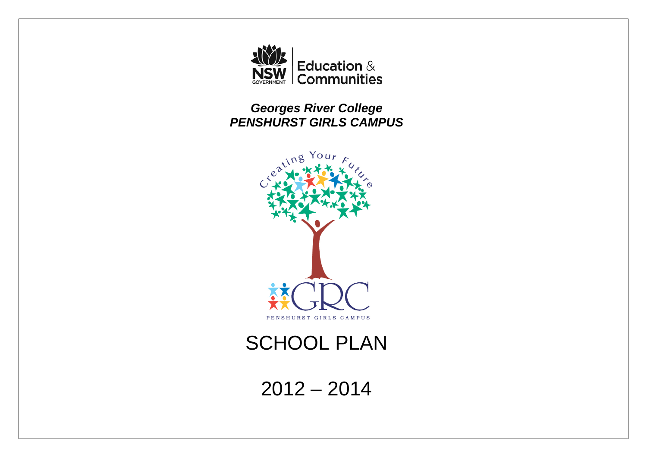

*Georges River College PENSHURST GIRLS CAMPUS* 



# **SCHOOL PLAN**

 $2012 - 2014$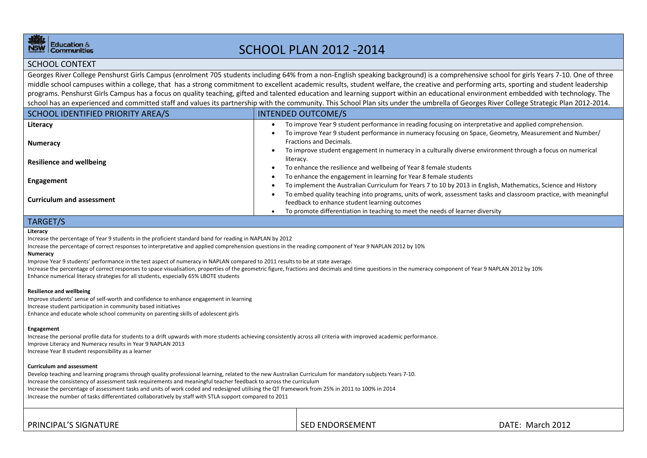

# SCHOOL PLAN 2012 ‐2014

### SCHOOL CONTEXT

Georges River College Penshurst Girls Campus (enrolment 705 students including 64% from a non-English speaking background) is a comprehensive school for girls Years 7-10. One of three middle school campuses within <sup>a</sup> college, that has <sup>a</sup> strong commitment to excellent academic results, student welfare, the creative and performing arts, sporting and student leadership programs. Penshurst Girls Campus has <sup>a</sup> focus on quality teaching, gifted and talented education and learning support within an educational environment embedded with technology. The school has an experienced and committed staff and values its partnership with the community. This School Plan sits under the umbrella of Georges River College Strategic Plan 2012‐2014.

| SCHOOL IDENTIFIED PRIORITY AREA/S | <b>INTENDED OUTCOME/S</b>                                                                                                                                         |
|-----------------------------------|-------------------------------------------------------------------------------------------------------------------------------------------------------------------|
| Literacy                          | To improve Year 9 student performance in reading focusing on interpretative and applied comprehension.                                                            |
| <b>Numeracy</b>                   | To improve Year 9 student performance in numeracy focusing on Space, Geometry, Measurement and Number/<br>Fractions and Decimals.                                 |
| <b>Resilience and wellbeing</b>   | To improve student engagement in numeracy in a culturally diverse environment through a focus on numerical<br>literacy.                                           |
|                                   | To enhance the resilience and wellbeing of Year 8 female students                                                                                                 |
| Engagement                        | To enhance the engagement in learning for Year 8 female students                                                                                                  |
|                                   | To implement the Australian Curriculum for Years 7 to 10 by 2013 in English, Mathematics, Science and History                                                     |
| <b>Curriculum and assessment</b>  | To embed quality teaching into programs, units of work, assessment tasks and classroom practice, with meaningful<br>feedback to enhance student learning outcomes |
|                                   | To promote differentiation in teaching to meet the needs of learner diversity                                                                                     |

### TARGET/S

#### **Literacy**

Increase the percentage of Year 9 students in the proficient standard band for reading in NAPLAN by 2012

Increase the percentage of correct responses to interpretative and applied comprehension questions in the reading component of Year 9 NAPLAN 2012 by 10%

#### **Numeracy**

Improve Year 9 students' performance in the test aspect of numeracy in NAPLAN compared to 2011 results to be at state average.

Increase the percentage of correct responses to space visualisation, properties of the geometric figure, fractions and decimals and time questions in the numeracy component of Year 9 NAPLAN 2012 by 10% Enhance numerical literacy strategies for all students, especially 65% LBOTE students

#### **Resilience and wellbeing**

Improve students' sense of self‐worth and confidence to enhance engagement in learning Increase student participation in community based initiatives Enhance and educate whole school community on parenting skills of adolescent girls

#### **Engagement**

Increase the personal profile data for students to <sup>a</sup> drift upwards with more students achieving consistently across all criteria with improved academic performance. Improve Literacy and Numeracy results in Year 9 NAPLAN 2013 Increase Year 8 student responsibility as <sup>a</sup> learner

#### **Curriculum and assessment**

Develop teaching and learning programs through quality professional learning, related to the new Australian Curriculum for mandatory subjects Years 7‐10. Increase the consistency of assessment task requirements and meaningful teacher feedback to across the curriculum Increase the percentage of assessment tasks and units of work coded and redesigned utilising the QT framework from 25% in 2011 to 100% in 2014 Increase the number of tasks differentiated collaboratively by staff with STLA support compared to 2011

| PRINCIPAL'S SIGNATURE | <b>SED ENDORSEMENT</b> | DATE: March 2012 |
|-----------------------|------------------------|------------------|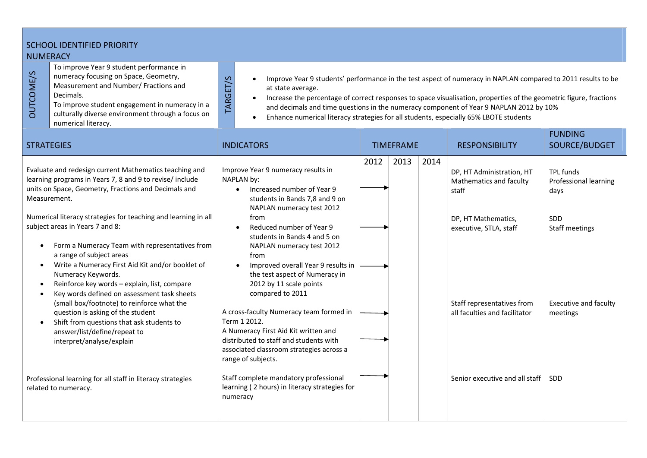| <b>SCHOOL IDENTIFIED PRIORITY</b><br><b>NUMERACY</b> |                                                                                                                                                                                                                                                                                                                                                                                                                                                                                                                                                                                                                                                                                                                                     |                                                                                                                                                                                                                                                                                                                                                                                                                                                                                               |                                                                                                                                                                                                                                                                                                                                                                                                                                                                                                                                                                                                                                     |      |                       |                                 |                                                                                                                                                                               |                                                                                                                               |
|------------------------------------------------------|-------------------------------------------------------------------------------------------------------------------------------------------------------------------------------------------------------------------------------------------------------------------------------------------------------------------------------------------------------------------------------------------------------------------------------------------------------------------------------------------------------------------------------------------------------------------------------------------------------------------------------------------------------------------------------------------------------------------------------------|-----------------------------------------------------------------------------------------------------------------------------------------------------------------------------------------------------------------------------------------------------------------------------------------------------------------------------------------------------------------------------------------------------------------------------------------------------------------------------------------------|-------------------------------------------------------------------------------------------------------------------------------------------------------------------------------------------------------------------------------------------------------------------------------------------------------------------------------------------------------------------------------------------------------------------------------------------------------------------------------------------------------------------------------------------------------------------------------------------------------------------------------------|------|-----------------------|---------------------------------|-------------------------------------------------------------------------------------------------------------------------------------------------------------------------------|-------------------------------------------------------------------------------------------------------------------------------|
| <b>DUTCOME/S</b>                                     | To improve Year 9 student performance in<br>numeracy focusing on Space, Geometry,<br>Measurement and Number/ Fractions and<br>Decimals.<br>To improve student engagement in numeracy in a<br>culturally diverse environment through a focus on<br>numerical literacy.                                                                                                                                                                                                                                                                                                                                                                                                                                                               | TARGET/S<br>Improve Year 9 students' performance in the test aspect of numeracy in NAPLAN compared to 2011 results to be<br>$\bullet$<br>at state average.<br>Increase the percentage of correct responses to space visualisation, properties of the geometric figure, fractions<br>$\bullet$<br>and decimals and time questions in the numeracy component of Year 9 NAPLAN 2012 by 10%<br>Enhance numerical literacy strategies for all students, especially 65% LBOTE students<br>$\bullet$ |                                                                                                                                                                                                                                                                                                                                                                                                                                                                                                                                                                                                                                     |      |                       |                                 |                                                                                                                                                                               |                                                                                                                               |
| <b>STRATEGIES</b>                                    |                                                                                                                                                                                                                                                                                                                                                                                                                                                                                                                                                                                                                                                                                                                                     | <b>INDICATORS</b><br><b>TIMEFRAME</b>                                                                                                                                                                                                                                                                                                                                                                                                                                                         |                                                                                                                                                                                                                                                                                                                                                                                                                                                                                                                                                                                                                                     |      | <b>RESPONSIBILITY</b> | <b>FUNDING</b><br>SOURCE/BUDGET |                                                                                                                                                                               |                                                                                                                               |
| Measurement.<br>$\bullet$                            | Evaluate and redesign current Mathematics teaching and<br>learning programs in Years 7, 8 and 9 to revise/ include<br>units on Space, Geometry, Fractions and Decimals and<br>Numerical literacy strategies for teaching and learning in all<br>subject areas in Years 7 and 8:<br>Form a Numeracy Team with representatives from<br>a range of subject areas<br>Write a Numeracy First Aid Kit and/or booklet of<br>Numeracy Keywords.<br>Reinforce key words - explain, list, compare<br>Key words defined on assessment task sheets<br>(small box/footnote) to reinforce what the<br>question is asking of the student<br>Shift from questions that ask students to<br>answer/list/define/repeat to<br>interpret/analyse/explain |                                                                                                                                                                                                                                                                                                                                                                                                                                                                                               | Improve Year 9 numeracy results in<br>NAPLAN by:<br>Increased number of Year 9<br>$\bullet$<br>students in Bands 7,8 and 9 on<br>NAPLAN numeracy test 2012<br>from<br>Reduced number of Year 9<br>$\bullet$<br>students in Bands 4 and 5 on<br>NAPLAN numeracy test 2012<br>from<br>Improved overall Year 9 results in<br>$\bullet$<br>the test aspect of Numeracy in<br>2012 by 11 scale points<br>compared to 2011<br>A cross-faculty Numeracy team formed in<br>Term 1 2012.<br>A Numeracy First Aid Kit written and<br>distributed to staff and students with<br>associated classroom strategies across a<br>range of subjects. | 2012 | 2013                  | 2014                            | DP, HT Administration, HT<br>Mathematics and faculty<br>staff<br>DP, HT Mathematics,<br>executive, STLA, staff<br>Staff representatives from<br>all faculties and facilitator | <b>TPL funds</b><br><b>Professional learning</b><br>days<br>SDD<br>Staff meetings<br><b>Executive and faculty</b><br>meetings |
|                                                      | Professional learning for all staff in literacy strategies<br>related to numeracy.                                                                                                                                                                                                                                                                                                                                                                                                                                                                                                                                                                                                                                                  |                                                                                                                                                                                                                                                                                                                                                                                                                                                                                               | Staff complete mandatory professional<br>learning (2 hours) in literacy strategies for<br>numeracy                                                                                                                                                                                                                                                                                                                                                                                                                                                                                                                                  |      |                       |                                 | Senior executive and all staff                                                                                                                                                | <b>SDD</b>                                                                                                                    |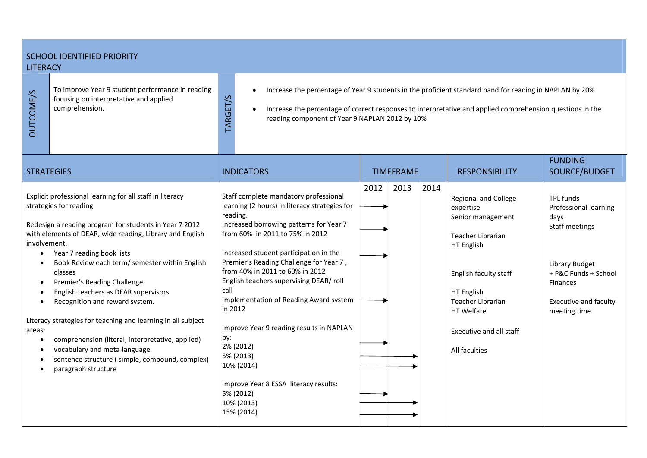### SCHOOL IDENTIFIED PRIORITY LITERACY

To improve Year 9 student performance in reading<br>focusing on interpretative and applied<br>comprehension.<br>DO

TARGET/S

 $\bullet$ Increase the percentage of Year 9 students in the proficient standard band for reading in NAPLAN by 20%

 $\bullet$ • Increase the percentage of correct responses to interpretative and applied comprehension questions in the reading component of Year 9 NAPLAN 2012 by 10%

| <b>STRATEGIES</b>                                                                                                                                                                                                                                                                                                                                                                                                           | <b>INDICATORS</b>                                                                                                                                                                                                                                                                                                                                                                                     | <b>TIMEFRAME</b> |      |      | <b>RESPONSIBILITY</b>                                                                                                                                        | <b>FUNDING</b><br>SOURCE/BUDGET                                                                                                                                  |
|-----------------------------------------------------------------------------------------------------------------------------------------------------------------------------------------------------------------------------------------------------------------------------------------------------------------------------------------------------------------------------------------------------------------------------|-------------------------------------------------------------------------------------------------------------------------------------------------------------------------------------------------------------------------------------------------------------------------------------------------------------------------------------------------------------------------------------------------------|------------------|------|------|--------------------------------------------------------------------------------------------------------------------------------------------------------------|------------------------------------------------------------------------------------------------------------------------------------------------------------------|
| Explicit professional learning for all staff in literacy<br>strategies for reading<br>Redesign a reading program for students in Year 7 2012<br>with elements of DEAR, wide reading, Library and English<br>involvement.<br>Year 7 reading book lists<br>Book Review each term/ semester within English<br>classes<br>Premier's Reading Challenge<br>English teachers as DEAR supervisors<br>Recognition and reward system. | Staff complete mandatory professional<br>learning (2 hours) in literacy strategies for<br>reading.<br>Increased borrowing patterns for Year 7<br>from 60% in 2011 to 75% in 2012<br>Increased student participation in the<br>Premier's Reading Challenge for Year 7,<br>from 40% in 2011 to 60% in 2012<br>English teachers supervising DEAR/ roll<br>call<br>Implementation of Reading Award system | 2012             | 2013 | 2014 | <b>Regional and College</b><br>expertise<br>Senior management<br>Teacher Librarian<br>HT English<br>English faculty staff<br>HT English<br>Teacher Librarian | <b>TPL funds</b><br>Professional learning<br>days<br>Staff meetings<br>Library Budget<br>+ P&C Funds + School<br><b>Finances</b><br><b>Executive and faculty</b> |
| Literacy strategies for teaching and learning in all subject<br>areas:<br>comprehension (literal, interpretative, applied)<br>vocabulary and meta-language<br>sentence structure (simple, compound, complex)<br>paragraph structure                                                                                                                                                                                         | in 2012<br>Improve Year 9 reading results in NAPLAN<br>by:<br>2% (2012)<br>5% (2013)<br>10% (2014)<br>Improve Year 8 ESSA literacy results:<br>5% (2012)<br>10% (2013)<br>15% (2014)                                                                                                                                                                                                                  |                  |      |      | <b>HT</b> Welfare<br>Executive and all staff<br>All faculties                                                                                                | meeting time                                                                                                                                                     |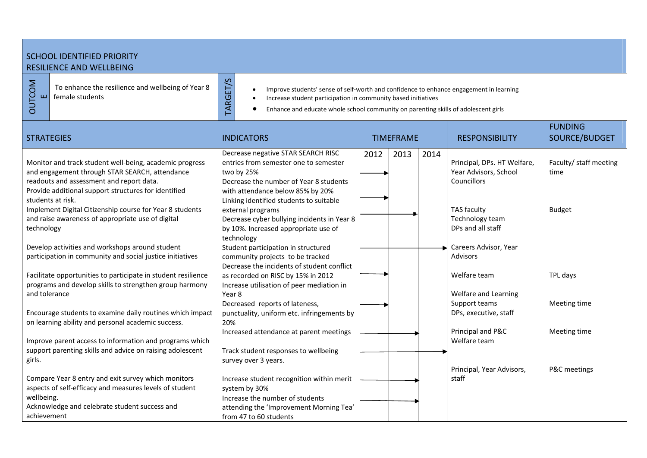## SCHOOL IDENTIFIED PRIORITY RESILIENCE AND WELLBEING

 $\begin{array}{c}\n\Sigma \\
O \\
H\n\end{array}$  To enhance the resilience and wellbeing of Year 8 female students

- Improve students' sense of self-worth and confidence to enhance engagement in learning<br>
 Increase student participation in community based initiatives<br>
 Enhance and educate whole school community on parenting skills of
	-
	-

| <b>STRATEGIES</b>                                                                                                                                     | <b>INDICATORS</b>                                                                                                                   | <b>TIMEFRAME</b>     | <b>RESPONSIBILITY</b>                                               | <b>FUNDING</b><br>SOURCE/BUDGET |
|-------------------------------------------------------------------------------------------------------------------------------------------------------|-------------------------------------------------------------------------------------------------------------------------------------|----------------------|---------------------------------------------------------------------|---------------------------------|
| Monitor and track student well-being, academic progress<br>and engagement through STAR SEARCH, attendance<br>readouts and assessment and report data. | Decrease negative STAR SEARCH RISC<br>entries from semester one to semester<br>two by 25%<br>Decrease the number of Year 8 students | 2013<br>2012<br>2014 | Principal, DPs. HT Welfare,<br>Year Advisors, School<br>Councillors | Faculty/ staff meeting<br>time  |
| Provide additional support structures for identified<br>students at risk.<br>Implement Digital Citizenship course for Year 8 students                 | with attendance below 85% by 20%<br>Linking identified students to suitable<br>external programs                                    |                      | TAS faculty                                                         | <b>Budget</b>                   |
| and raise awareness of appropriate use of digital<br>technology                                                                                       | Decrease cyber bullying incidents in Year 8<br>by 10%. Increased appropriate use of<br>technology                                   |                      | Technology team<br>DPs and all staff                                |                                 |
| Develop activities and workshops around student<br>participation in community and social justice initiatives                                          | Student participation in structured<br>community projects to be tracked<br>Decrease the incidents of student conflict               |                      | Careers Advisor, Year<br><b>Advisors</b>                            |                                 |
| Facilitate opportunities to participate in student resilience<br>programs and develop skills to strengthen group harmony<br>and tolerance             | as recorded on RISC by 15% in 2012<br>Increase utilisation of peer mediation in<br>Year 8                                           |                      | Welfare team<br>Welfare and Learning                                | TPL days                        |
| Encourage students to examine daily routines which impact<br>on learning ability and personal academic success.                                       | Decreased reports of lateness,<br>punctuality, uniform etc. infringements by<br>20%                                                 |                      | Support teams<br>DPs, executive, staff                              | Meeting time                    |
| Improve parent access to information and programs which<br>support parenting skills and advice on raising adolescent                                  | Increased attendance at parent meetings<br>Track student responses to wellbeing                                                     |                      | Principal and P&C<br>Welfare team                                   | Meeting time                    |
| girls.<br>Compare Year 8 entry and exit survey which monitors                                                                                         | survey over 3 years.<br>Increase student recognition within merit                                                                   |                      | Principal, Year Advisors,<br>staff                                  | P&C meetings                    |
| aspects of self-efficacy and measures levels of student<br>wellbeing.<br>Acknowledge and celebrate student success and                                | system by 30%<br>Increase the number of students<br>attending the 'Improvement Morning Tea'                                         |                      |                                                                     |                                 |
| achievement                                                                                                                                           | from 47 to 60 students                                                                                                              |                      |                                                                     |                                 |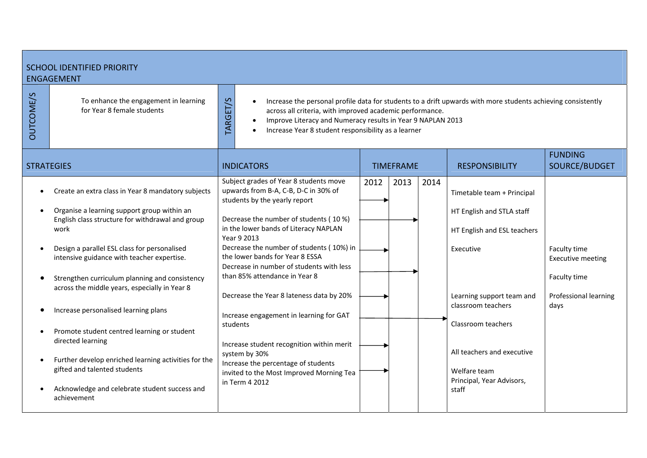| <b>SCHOOL IDENTIFIED PRIORITY</b><br><b>ENGAGEMENT</b>                                                                                                                                                                                                                                                                                                                                                                                                                                                                                                                                                                             |                                                                                                                                                                                                                                                                                                                                                                                                                                                                                                                                                                                                                                                     |                      |                                                                                                                                                                                                                                                                  |                                                                                           |  |  |  |
|------------------------------------------------------------------------------------------------------------------------------------------------------------------------------------------------------------------------------------------------------------------------------------------------------------------------------------------------------------------------------------------------------------------------------------------------------------------------------------------------------------------------------------------------------------------------------------------------------------------------------------|-----------------------------------------------------------------------------------------------------------------------------------------------------------------------------------------------------------------------------------------------------------------------------------------------------------------------------------------------------------------------------------------------------------------------------------------------------------------------------------------------------------------------------------------------------------------------------------------------------------------------------------------------------|----------------------|------------------------------------------------------------------------------------------------------------------------------------------------------------------------------------------------------------------------------------------------------------------|-------------------------------------------------------------------------------------------|--|--|--|
| <b>OUTCOME/S</b><br>To enhance the engagement in learning<br>for Year 8 female students                                                                                                                                                                                                                                                                                                                                                                                                                                                                                                                                            | TARGET/S<br>Increase the personal profile data for students to a drift upwards with more students achieving consistently<br>across all criteria, with improved academic performance.<br>Improve Literacy and Numeracy results in Year 9 NAPLAN 2013<br>$\bullet$<br>Increase Year 8 student responsibility as a learner                                                                                                                                                                                                                                                                                                                             |                      |                                                                                                                                                                                                                                                                  |                                                                                           |  |  |  |
| <b>STRATEGIES</b>                                                                                                                                                                                                                                                                                                                                                                                                                                                                                                                                                                                                                  | <b>INDICATORS</b>                                                                                                                                                                                                                                                                                                                                                                                                                                                                                                                                                                                                                                   | <b>TIMEFRAME</b>     | <b>RESPONSIBILITY</b>                                                                                                                                                                                                                                            | <b>FUNDING</b><br>SOURCE/BUDGET                                                           |  |  |  |
| Create an extra class in Year 8 mandatory subjects<br>Organise a learning support group within an<br>English class structure for withdrawal and group<br>work<br>Design a parallel ESL class for personalised<br>intensive guidance with teacher expertise.<br>Strengthen curriculum planning and consistency<br>across the middle years, especially in Year 8<br>Increase personalised learning plans<br>Promote student centred learning or student<br>directed learning<br>Further develop enriched learning activities for the<br>gifted and talented students<br>Acknowledge and celebrate student success and<br>achievement | Subject grades of Year 8 students move<br>upwards from B-A, C-B, D-C in 30% of<br>students by the yearly report<br>Decrease the number of students (10 %)<br>in the lower bands of Literacy NAPLAN<br>Year 9 2013<br>Decrease the number of students (10%) in<br>the lower bands for Year 8 ESSA<br>Decrease in number of students with less<br>than 85% attendance in Year 8<br>Decrease the Year 8 lateness data by 20%<br>Increase engagement in learning for GAT<br>students<br>Increase student recognition within merit<br>system by 30%<br>Increase the percentage of students<br>invited to the Most Improved Morning Tea<br>in Term 4 2012 | 2012<br>2013<br>2014 | Timetable team + Principal<br>HT English and STLA staff<br>HT English and ESL teachers<br>Executive<br>Learning support team and<br>classroom teachers<br>Classroom teachers<br>All teachers and executive<br>Welfare team<br>Principal, Year Advisors,<br>staff | Faculty time<br><b>Executive meeting</b><br>Faculty time<br>Professional learning<br>days |  |  |  |